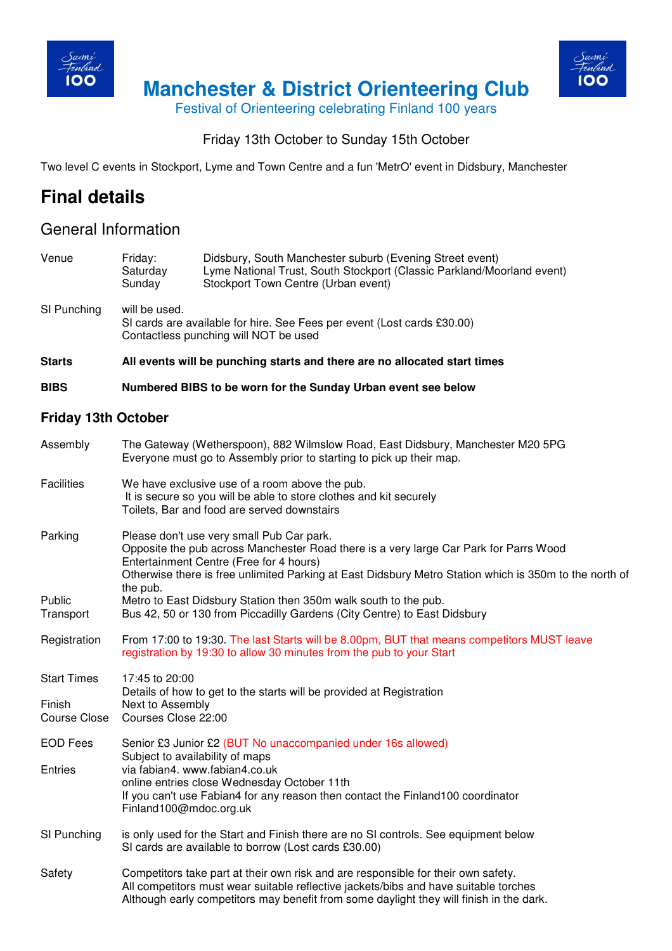

 **Manchester & District Orienteering Club** 



Festival of Orienteering celebrating Finland 100 years

## Friday 13th October to Sunday 15th October

Two level C events in Stockport, Lyme and Town Centre and a fun 'MetrO' event in Didsbury, Manchester

# **Final details**

# General Information

| Venue                      | Friday:<br>Saturday<br>Sunday                                                                                                                                                                                                                                                                       | Didsbury, South Manchester suburb (Evening Street event)<br>Lyme National Trust, South Stockport (Classic Parkland/Moorland event)<br>Stockport Town Centre (Urban event)                  |  |  |
|----------------------------|-----------------------------------------------------------------------------------------------------------------------------------------------------------------------------------------------------------------------------------------------------------------------------------------------------|--------------------------------------------------------------------------------------------------------------------------------------------------------------------------------------------|--|--|
| SI Punching                | will be used.<br>SI cards are available for hire. See Fees per event (Lost cards £30.00)<br>Contactless punching will NOT be used                                                                                                                                                                   |                                                                                                                                                                                            |  |  |
| <b>Starts</b>              | All events will be punching starts and there are no allocated start times                                                                                                                                                                                                                           |                                                                                                                                                                                            |  |  |
| <b>BIBS</b>                | Numbered BIBS to be worn for the Sunday Urban event see below                                                                                                                                                                                                                                       |                                                                                                                                                                                            |  |  |
| <b>Friday 13th October</b> |                                                                                                                                                                                                                                                                                                     |                                                                                                                                                                                            |  |  |
| Assembly                   | The Gateway (Wetherspoon), 882 Wilmslow Road, East Didsbury, Manchester M20 5PG<br>Everyone must go to Assembly prior to starting to pick up their map.                                                                                                                                             |                                                                                                                                                                                            |  |  |
| <b>Facilities</b>          | We have exclusive use of a room above the pub.<br>It is secure so you will be able to store clothes and kit securely<br>Toilets, Bar and food are served downstairs                                                                                                                                 |                                                                                                                                                                                            |  |  |
| Parking                    | Please don't use very small Pub Car park.<br>Opposite the pub across Manchester Road there is a very large Car Park for Parrs Wood<br>Entertainment Centre (Free for 4 hours)<br>Otherwise there is free unlimited Parking at East Didsbury Metro Station which is 350m to the north of<br>the pub. |                                                                                                                                                                                            |  |  |
| Public<br>Transport        | Metro to East Didsbury Station then 350m walk south to the pub.<br>Bus 42, 50 or 130 from Piccadilly Gardens (City Centre) to East Didsbury                                                                                                                                                         |                                                                                                                                                                                            |  |  |
| Registration               | From 17:00 to 19:30. The last Starts will be 8.00pm, BUT that means competitors MUST leave<br>registration by 19:30 to allow 30 minutes from the pub to your Start                                                                                                                                  |                                                                                                                                                                                            |  |  |
| <b>Start Times</b>         | 17:45 to 20:00<br>Details of how to get to the starts will be provided at Registration                                                                                                                                                                                                              |                                                                                                                                                                                            |  |  |
| Finish<br>Course Close     | Next to Assembly<br>Courses Close 22:00                                                                                                                                                                                                                                                             |                                                                                                                                                                                            |  |  |
| <b>EOD Fees</b>            |                                                                                                                                                                                                                                                                                                     | Senior £3 Junior £2 (BUT No unaccompanied under 16s allowed)<br>Subject to availability of maps                                                                                            |  |  |
| Entries                    |                                                                                                                                                                                                                                                                                                     | via fabian4. www.fabian4.co.uk<br>online entries close Wednesday October 11th<br>If you can't use Fabian4 for any reason then contact the Finland100 coordinator<br>Finland100@mdoc.org.uk |  |  |
| SI Punching                | is only used for the Start and Finish there are no SI controls. See equipment below<br>SI cards are available to borrow (Lost cards £30.00)                                                                                                                                                         |                                                                                                                                                                                            |  |  |
| Safety                     | Competitors take part at their own risk and are responsible for their own safety.<br>All competitors must wear suitable reflective jackets/bibs and have suitable torches<br>Although early competitors may benefit from some daylight they will finish in the dark.                                |                                                                                                                                                                                            |  |  |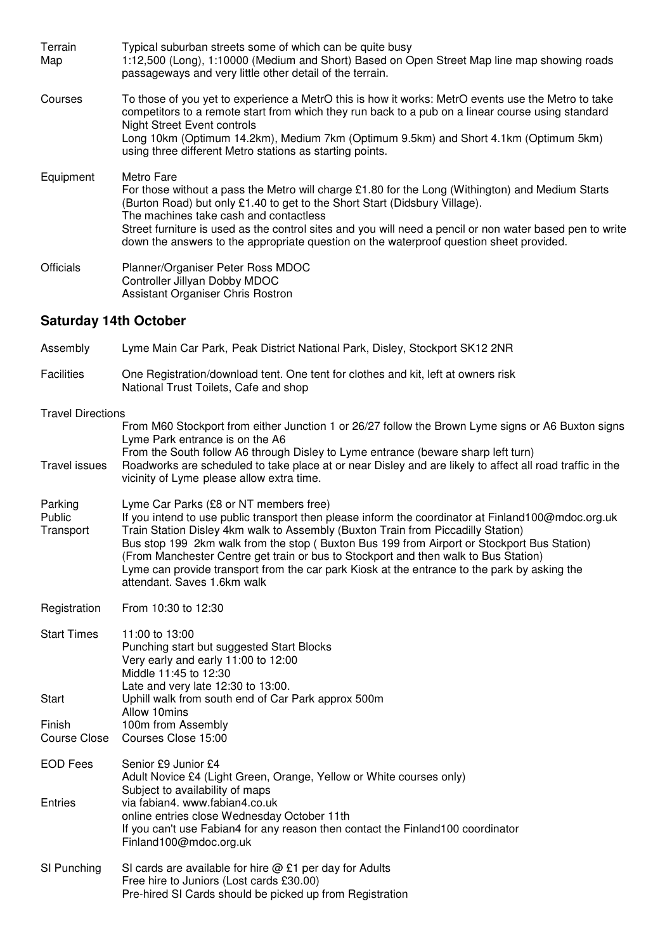| Terrain<br>Map               | Typical suburban streets some of which can be quite busy<br>1:12,500 (Long), 1:10000 (Medium and Short) Based on Open Street Map line map showing roads<br>passageways and very little other detail of the terrain.                                                                                                                                                                                                                           |
|------------------------------|-----------------------------------------------------------------------------------------------------------------------------------------------------------------------------------------------------------------------------------------------------------------------------------------------------------------------------------------------------------------------------------------------------------------------------------------------|
| Courses                      | To those of you yet to experience a MetrO this is how it works: MetrO events use the Metro to take<br>competitors to a remote start from which they run back to a pub on a linear course using standard<br><b>Night Street Event controls</b><br>Long 10km (Optimum 14.2km), Medium 7km (Optimum 9.5km) and Short 4.1km (Optimum 5km)<br>using three different Metro stations as starting points.                                             |
| Equipment                    | Metro Fare<br>For those without a pass the Metro will charge £1.80 for the Long (Withington) and Medium Starts<br>(Burton Road) but only £1.40 to get to the Short Start (Didsbury Village).<br>The machines take cash and contactless<br>Street furniture is used as the control sites and you will need a pencil or non water based pen to write<br>down the answers to the appropriate question on the waterproof question sheet provided. |
| <b>Officials</b>             | Planner/Organiser Peter Ross MDOC<br>Controller Jillyan Dobby MDOC<br>Assistant Organiser Chris Rostron                                                                                                                                                                                                                                                                                                                                       |
| <b>Saturday 14th October</b> |                                                                                                                                                                                                                                                                                                                                                                                                                                               |
| Assembly                     | Lyme Main Car Park, Peak District National Park, Disley, Stockport SK12 2NR                                                                                                                                                                                                                                                                                                                                                                   |

- Facilities One Registration/download tent. One tent for clothes and kit, left at owners risk National Trust Toilets, Cafe and shop Travel Directions From M60 Stockport from either Junction 1 or 26/27 follow the Brown Lyme signs or A6 Buxton signs Lyme Park entrance is on the A6 From the South follow A6 through Disley to Lyme entrance (beware sharp left turn) Travel issues Roadworks are scheduled to take place at or near Disley and are likely to affect all road traffic in the vicinity of Lyme please allow extra time.
- Parking Lyme Car Parks (£8 or NT members free)<br>Public let you intend to use public transport then p If you intend to use public transport then please inform the coordinator at Finland100@mdoc.org.uk Transport Train Station Disley 4km walk to Assembly (Buxton Train from Piccadilly Station) Bus stop 199 2km walk from the stop ( Buxton Bus 199 from Airport or Stockport Bus Station) (From Manchester Centre get train or bus to Stockport and then walk to Bus Station) Lyme can provide transport from the car park Kiosk at the entrance to the park by asking the attendant. Saves 1.6km walk
- Registration From 10:30 to 12:30

| Start Times    | 11:00 to 13:00<br>Punching start but suggested Start Blocks<br>Very early and early 11:00 to 12:00<br>Middle 11:45 to 12:30<br>Late and very late $12:30$ to $13:00$ .                     |
|----------------|--------------------------------------------------------------------------------------------------------------------------------------------------------------------------------------------|
| Start          | Uphill walk from south end of Car Park approx 500m<br>Allow 10mins                                                                                                                         |
| Finish         | 100m from Assembly                                                                                                                                                                         |
|                | Course Close Courses Close 15:00                                                                                                                                                           |
| EOD Fees       | Senior £9 Junior £4<br>Adult Novice £4 (Light Green, Orange, Yellow or White courses only)<br>Subject to availability of maps                                                              |
| <b>Entries</b> | via fabian4. www.fabian4.co.uk<br>online entries close Wednesday October 11th<br>If you can't use Fabian4 for any reason then contact the Finland100 coordinator<br>Finland100@mdoc.org.uk |
| CI Dunobina    | $Cl$ carde are available for bire $\otimes$ $Cl$ per day for Adulte                                                                                                                        |

SI Punching SI cards are available for hire  $@E1$  per day for Adults Free hire to Juniors (Lost cards £30.00) Pre-hired SI Cards should be picked up from Registration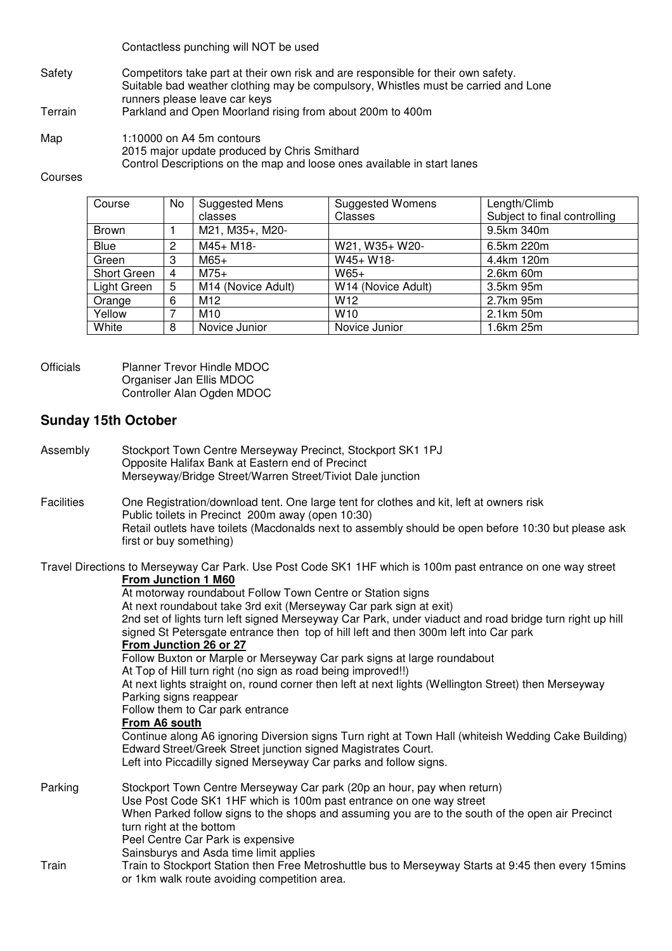Contactless punching will NOT be used

- Safety Competitors take part at their own risk and are responsible for their own safety. Suitable bad weather clothing may be compulsory, Whistles must be carried and Lone runners please leave car keys<br>Terrain Parkland and Open Moorland i
- Parkland and Open Moorland rising from about 200m to 400m
- Map 1:10000 on A4 5m contours 2015 major update produced by Chris Smithard Control Descriptions on the map and loose ones available in start lanes

#### Courses

| Course       | No | Suggested Mens     | <b>Suggested Womens</b> | Length/Climb                 |
|--------------|----|--------------------|-------------------------|------------------------------|
|              |    | classes            | Classes                 | Subject to final controlling |
| <b>Brown</b> |    | M21, M35+, M20-    |                         | 9.5km 340m                   |
| Blue         | 2  | $M45+ M18-$        | W21, W35+ W20-          | 6.5km 220m                   |
| Green        | 3  | $M65+$             | $W45+ W18-$             | 4.4km 120m                   |
| Short Green  | 4  | $M75+$             | $W65+$                  | 2.6km 60m                    |
| Light Green  | 5  | M14 (Novice Adult) | W14 (Novice Adult)      | 3.5km 95m                    |
| Orange       | 6  | M12                | W <sub>12</sub>         | 2.7km 95m                    |
| Yellow       |    | M10                | W <sub>10</sub>         | 2.1km 50m                    |
| White        | 8  | Novice Junior      | Novice Junior           | 1.6km 25m                    |

Officials Planner Trevor Hindle MDOC Organiser Jan Ellis MDOC Controller Alan Ogden MDOC

### **Sunday 15th October**

| Assembly          | Stockport Town Centre Merseyway Precinct, Stockport SK1 1PJ<br>Opposite Halifax Bank at Eastern end of Precinct<br>Merseyway/Bridge Street/Warren Street/Tiviot Dale junction                                                                                                                                                                                                                                                                                                                                                                                                                                                                                                                                                                                                                                                                                                                                                                                                                                                                                                              |
|-------------------|--------------------------------------------------------------------------------------------------------------------------------------------------------------------------------------------------------------------------------------------------------------------------------------------------------------------------------------------------------------------------------------------------------------------------------------------------------------------------------------------------------------------------------------------------------------------------------------------------------------------------------------------------------------------------------------------------------------------------------------------------------------------------------------------------------------------------------------------------------------------------------------------------------------------------------------------------------------------------------------------------------------------------------------------------------------------------------------------|
| <b>Facilities</b> | One Registration/download tent. One large tent for clothes and kit, left at owners risk<br>Public toilets in Precinct 200m away (open 10:30)<br>Retail outlets have toilets (Macdonalds next to assembly should be open before 10:30 but please ask<br>first or buy something)                                                                                                                                                                                                                                                                                                                                                                                                                                                                                                                                                                                                                                                                                                                                                                                                             |
|                   | Travel Directions to Merseyway Car Park. Use Post Code SK1 1HF which is 100m past entrance on one way street<br><b>From Junction 1 M60</b><br>At motorway roundabout Follow Town Centre or Station signs<br>At next roundabout take 3rd exit (Merseyway Car park sign at exit)<br>2nd set of lights turn left signed Merseyway Car Park, under viaduct and road bridge turn right up hill<br>signed St Petersgate entrance then top of hill left and then 300m left into Car park<br>From Junction 26 or 27<br>Follow Buxton or Marple or Merseyway Car park signs at large roundabout<br>At Top of Hill turn right (no sign as road being improved!!)<br>At next lights straight on, round corner then left at next lights (Wellington Street) then Merseyway<br>Parking signs reappear<br>Follow them to Car park entrance<br>From A6 south<br>Continue along A6 ignoring Diversion signs Turn right at Town Hall (whiteish Wedding Cake Building)<br>Edward Street/Greek Street junction signed Magistrates Court.<br>Left into Piccadilly signed Merseyway Car parks and follow signs. |
| Parking           | Stockport Town Centre Merseyway Car park (20p an hour, pay when return)<br>Use Post Code SK1 1HF which is 100m past entrance on one way street<br>When Parked follow signs to the shops and assuming you are to the south of the open air Precinct<br>turn right at the bottom<br>Peel Centre Car Park is expensive<br>Sainsburys and Asda time limit applies                                                                                                                                                                                                                                                                                                                                                                                                                                                                                                                                                                                                                                                                                                                              |
| Train             | Train to Stockport Station then Free Metroshuttle bus to Merseyway Starts at 9:45 then every 15mins<br>or 1km walk route avoiding competition area.                                                                                                                                                                                                                                                                                                                                                                                                                                                                                                                                                                                                                                                                                                                                                                                                                                                                                                                                        |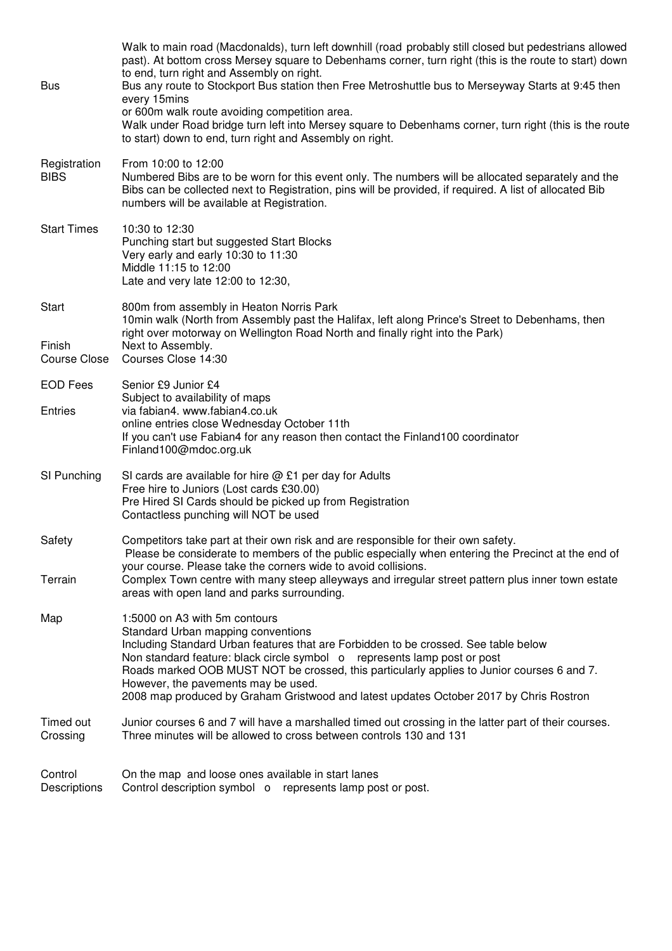| <b>Bus</b>                      | Walk to main road (Macdonalds), turn left downhill (road probably still closed but pedestrians allowed<br>past). At bottom cross Mersey square to Debenhams corner, turn right (this is the route to start) down<br>to end, turn right and Assembly on right.<br>Bus any route to Stockport Bus station then Free Metroshuttle bus to Merseyway Starts at 9:45 then<br>every 15mins<br>or 600m walk route avoiding competition area.<br>Walk under Road bridge turn left into Mersey square to Debenhams corner, turn right (this is the route<br>to start) down to end, turn right and Assembly on right. |
|---------------------------------|------------------------------------------------------------------------------------------------------------------------------------------------------------------------------------------------------------------------------------------------------------------------------------------------------------------------------------------------------------------------------------------------------------------------------------------------------------------------------------------------------------------------------------------------------------------------------------------------------------|
| Registration<br><b>BIBS</b>     | From 10:00 to 12:00<br>Numbered Bibs are to be worn for this event only. The numbers will be allocated separately and the<br>Bibs can be collected next to Registration, pins will be provided, if required. A list of allocated Bib<br>numbers will be available at Registration.                                                                                                                                                                                                                                                                                                                         |
| <b>Start Times</b>              | 10:30 to 12:30<br>Punching start but suggested Start Blocks<br>Very early and early 10:30 to 11:30<br>Middle 11:15 to 12:00<br>Late and very late 12:00 to 12:30,                                                                                                                                                                                                                                                                                                                                                                                                                                          |
| Start<br>Finish<br>Course Close | 800m from assembly in Heaton Norris Park<br>10min walk (North from Assembly past the Halifax, left along Prince's Street to Debenhams, then<br>right over motorway on Wellington Road North and finally right into the Park)<br>Next to Assembly.<br>Courses Close 14:30                                                                                                                                                                                                                                                                                                                                   |
| <b>EOD Fees</b>                 | Senior £9 Junior £4                                                                                                                                                                                                                                                                                                                                                                                                                                                                                                                                                                                        |
| Entries                         | Subject to availability of maps<br>via fabian4. www.fabian4.co.uk<br>online entries close Wednesday October 11th<br>If you can't use Fabian4 for any reason then contact the Finland100 coordinator<br>Finland100@mdoc.org.uk                                                                                                                                                                                                                                                                                                                                                                              |
| SI Punching                     | SI cards are available for hire $@$ £1 per day for Adults<br>Free hire to Juniors (Lost cards £30.00)<br>Pre Hired SI Cards should be picked up from Registration<br>Contactless punching will NOT be used                                                                                                                                                                                                                                                                                                                                                                                                 |
| Safety                          | Competitors take part at their own risk and are responsible for their own safety.<br>Please be considerate to members of the public especially when entering the Precinct at the end of<br>your course. Please take the corners wide to avoid collisions.                                                                                                                                                                                                                                                                                                                                                  |
| Terrain                         | Complex Town centre with many steep alleyways and irregular street pattern plus inner town estate<br>areas with open land and parks surrounding.                                                                                                                                                                                                                                                                                                                                                                                                                                                           |
| Map                             | 1:5000 on A3 with 5m contours<br>Standard Urban mapping conventions<br>Including Standard Urban features that are Forbidden to be crossed. See table below<br>Non standard feature: black circle symbol o represents lamp post or post<br>Roads marked OOB MUST NOT be crossed, this particularly applies to Junior courses 6 and 7.<br>However, the pavements may be used.<br>2008 map produced by Graham Gristwood and latest updates October 2017 by Chris Rostron                                                                                                                                      |
| Timed out<br>Crossing           | Junior courses 6 and 7 will have a marshalled timed out crossing in the latter part of their courses.<br>Three minutes will be allowed to cross between controls 130 and 131                                                                                                                                                                                                                                                                                                                                                                                                                               |
| Control<br>Descriptions         | On the map and loose ones available in start lanes<br>Control description symbol o represents lamp post or post.                                                                                                                                                                                                                                                                                                                                                                                                                                                                                           |